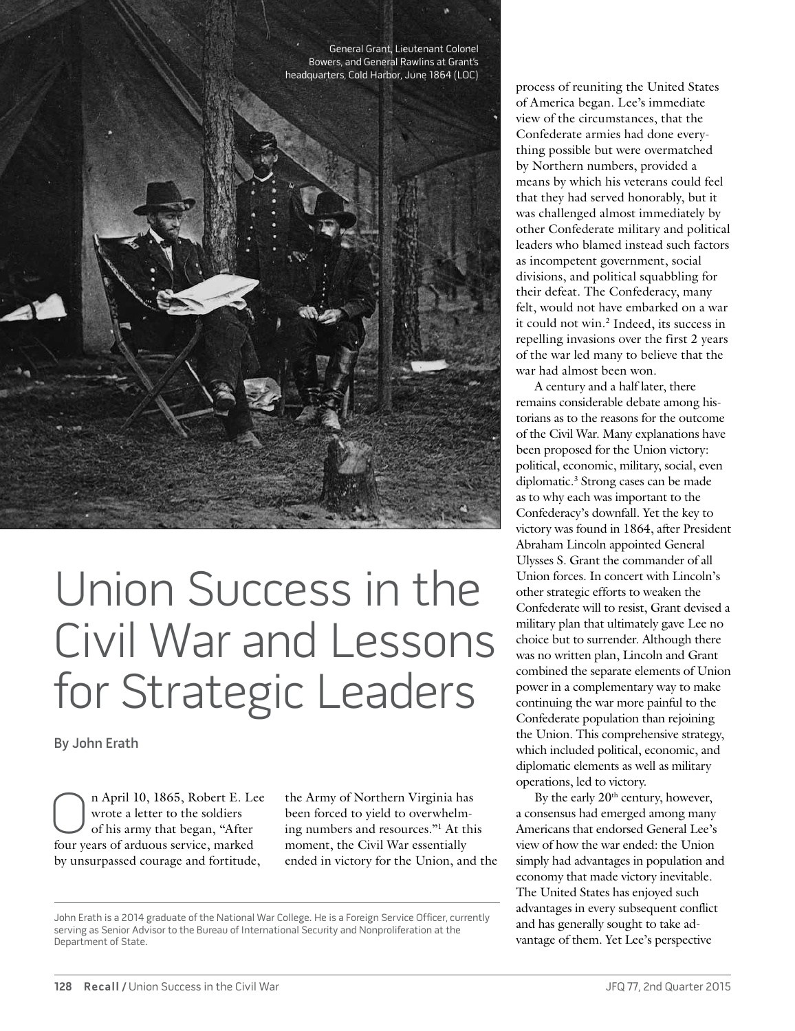General Grant, Lieutenant Colonel Bowers, and General Rawlins at Grant's



# Union Success in the Civil War and Lessons for Strategic Leaders

By John Erath

The April 10, 1865, Robert E. Lee<br>
So Kenter to the soldiers<br>
of his army that began, "After<br>
four vears of arduous service marked wrote a letter to the soldiers of his army that began, "After four years of arduous service, marked by unsurpassed courage and fortitude,

the Army of Northern Virginia has been forced to yield to overwhelming numbers and resources."1 At this moment, the Civil War essentially ended in victory for the Union, and the process of reuniting the United States of America began. Lee's immediate view of the circumstances, that the Confederate armies had done everything possible but were overmatched by Northern numbers, provided a means by which his veterans could feel that they had served honorably, but it was challenged almost immediately by other Confederate military and political leaders who blamed instead such factors as incompetent government, social divisions, and political squabbling for their defeat. The Confederacy, many felt, would not have embarked on a war it could not win.2 Indeed, its success in repelling invasions over the first 2 years of the war led many to believe that the war had almost been won.

A century and a half later, there remains considerable debate among historians as to the reasons for the outcome of the Civil War. Many explanations have been proposed for the Union victory: political, economic, military, social, even diplomatic.<sup>3</sup> Strong cases can be made as to why each was important to the Confederacy's downfall. Yet the key to victory was found in 1864, after President Abraham Lincoln appointed General Ulysses S. Grant the commander of all Union forces. In concert with Lincoln's other strategic efforts to weaken the Confederate will to resist, Grant devised a military plan that ultimately gave Lee no choice but to surrender. Although there was no written plan, Lincoln and Grant combined the separate elements of Union power in a complementary way to make continuing the war more painful to the Confederate population than rejoining the Union. This comprehensive strategy, which included political, economic, and diplomatic elements as well as military operations, led to victory.

By the early 20<sup>th</sup> century, however, a consensus had emerged among many Americans that endorsed General Lee's view of how the war ended: the Union simply had advantages in population and economy that made victory inevitable. The United States has enjoyed such advantages in every subsequent conflict and has generally sought to take advantage of them. Yet Lee's perspective

John Erath is a 2014 graduate of the National War College. He is a Foreign Service Officer, currently serving as Senior Advisor to the Bureau of International Security and Nonproliferation at the Department of State.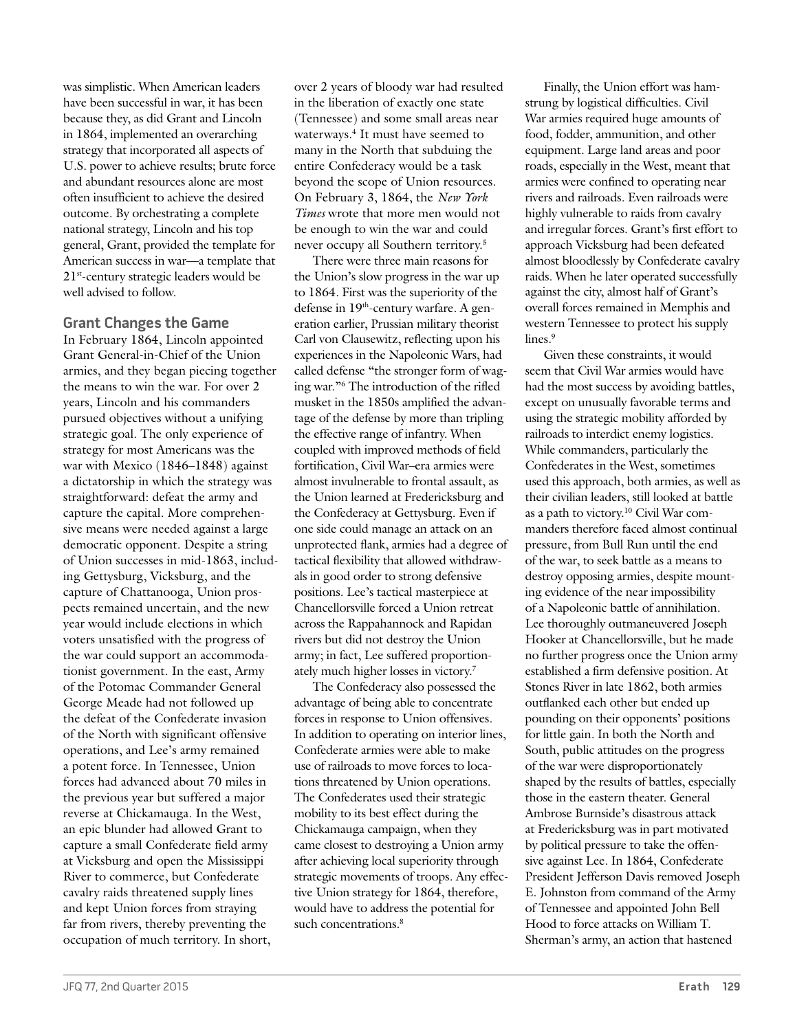was simplistic. When American leaders have been successful in war, it has been because they, as did Grant and Lincoln in 1864, implemented an overarching strategy that incorporated all aspects of U.S. power to achieve results; brute force and abundant resources alone are most often insufficient to achieve the desired outcome. By orchestrating a complete national strategy, Lincoln and his top general, Grant, provided the template for American success in war—a template that 21st-century strategic leaders would be well advised to follow.

### **Grant Changes the Game**

In February 1864, Lincoln appointed Grant General-in-Chief of the Union armies, and they began piecing together the means to win the war. For over 2 years, Lincoln and his commanders pursued objectives without a unifying strategic goal. The only experience of strategy for most Americans was the war with Mexico (1846–1848) against a dictatorship in which the strategy was straightforward: defeat the army and capture the capital. More comprehensive means were needed against a large democratic opponent. Despite a string of Union successes in mid-1863, including Gettysburg, Vicksburg, and the capture of Chattanooga, Union prospects remained uncertain, and the new year would include elections in which voters unsatisfied with the progress of the war could support an accommodationist government. In the east, Army of the Potomac Commander General George Meade had not followed up the defeat of the Confederate invasion of the North with significant offensive operations, and Lee's army remained a potent force. In Tennessee, Union forces had advanced about 70 miles in the previous year but suffered a major reverse at Chickamauga. In the West, an epic blunder had allowed Grant to capture a small Confederate field army at Vicksburg and open the Mississippi River to commerce, but Confederate cavalry raids threatened supply lines and kept Union forces from straying far from rivers, thereby preventing the occupation of much territory. In short,

over 2 years of bloody war had resulted in the liberation of exactly one state (Tennessee) and some small areas near waterways.4 It must have seemed to many in the North that subduing the entire Confederacy would be a task beyond the scope of Union resources. On February 3, 1864, the *New York Times* wrote that more men would not be enough to win the war and could never occupy all Southern territory.5

There were three main reasons for the Union's slow progress in the war up to 1864. First was the superiority of the defense in 19<sup>th</sup>-century warfare. A generation earlier, Prussian military theorist Carl von Clausewitz, reflecting upon his experiences in the Napoleonic Wars, had called defense "the stronger form of waging war."6 The introduction of the rifled musket in the 1850s amplified the advantage of the defense by more than tripling the effective range of infantry. When coupled with improved methods of field fortification, Civil War–era armies were almost invulnerable to frontal assault, as the Union learned at Fredericksburg and the Confederacy at Gettysburg. Even if one side could manage an attack on an unprotected flank, armies had a degree of tactical flexibility that allowed withdrawals in good order to strong defensive positions. Lee's tactical masterpiece at Chancellorsville forced a Union retreat across the Rappahannock and Rapidan rivers but did not destroy the Union army; in fact, Lee suffered proportionately much higher losses in victory.7

The Confederacy also possessed the advantage of being able to concentrate forces in response to Union offensives. In addition to operating on interior lines, Confederate armies were able to make use of railroads to move forces to locations threatened by Union operations. The Confederates used their strategic mobility to its best effect during the Chickamauga campaign, when they came closest to destroying a Union army after achieving local superiority through strategic movements of troops. Any effective Union strategy for 1864, therefore, would have to address the potential for such concentrations.<sup>8</sup>

Finally, the Union effort was hamstrung by logistical difficulties. Civil War armies required huge amounts of food, fodder, ammunition, and other equipment. Large land areas and poor roads, especially in the West, meant that armies were confined to operating near rivers and railroads. Even railroads were highly vulnerable to raids from cavalry and irregular forces. Grant's first effort to approach Vicksburg had been defeated almost bloodlessly by Confederate cavalry raids. When he later operated successfully against the city, almost half of Grant's overall forces remained in Memphis and western Tennessee to protect his supply lines.<sup>9</sup>

Given these constraints, it would seem that Civil War armies would have had the most success by avoiding battles, except on unusually favorable terms and using the strategic mobility afforded by railroads to interdict enemy logistics. While commanders, particularly the Confederates in the West, sometimes used this approach, both armies, as well as their civilian leaders, still looked at battle as a path to victory.10 Civil War commanders therefore faced almost continual pressure, from Bull Run until the end of the war, to seek battle as a means to destroy opposing armies, despite mounting evidence of the near impossibility of a Napoleonic battle of annihilation. Lee thoroughly outmaneuvered Joseph Hooker at Chancellorsville, but he made no further progress once the Union army established a firm defensive position. At Stones River in late 1862, both armies outflanked each other but ended up pounding on their opponents' positions for little gain. In both the North and South, public attitudes on the progress of the war were disproportionately shaped by the results of battles, especially those in the eastern theater. General Ambrose Burnside's disastrous attack at Fredericksburg was in part motivated by political pressure to take the offensive against Lee. In 1864, Confederate President Jefferson Davis removed Joseph E. Johnston from command of the Army of Tennessee and appointed John Bell Hood to force attacks on William T. Sherman's army, an action that hastened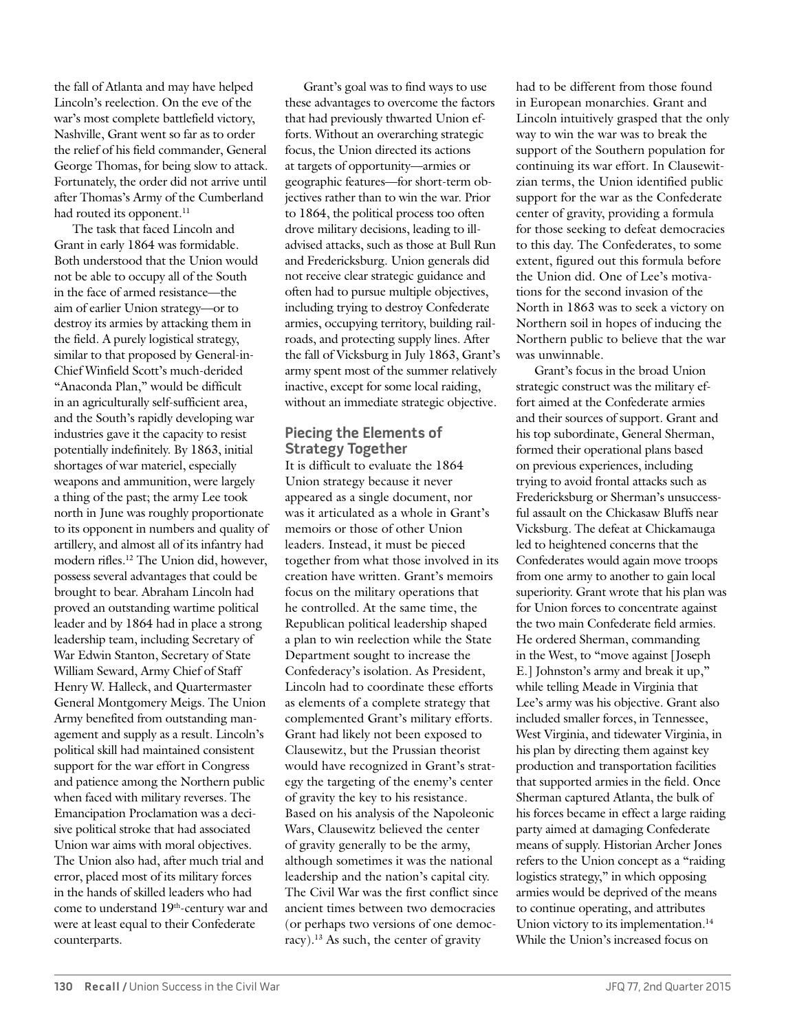the fall of Atlanta and may have helped Lincoln's reelection. On the eve of the war's most complete battlefield victory, Nashville, Grant went so far as to order the relief of his field commander, General George Thomas, for being slow to attack. Fortunately, the order did not arrive until after Thomas's Army of the Cumberland had routed its opponent.<sup>11</sup>

The task that faced Lincoln and Grant in early 1864 was formidable. Both understood that the Union would not be able to occupy all of the South in the face of armed resistance—the aim of earlier Union strategy—or to destroy its armies by attacking them in the field. A purely logistical strategy, similar to that proposed by General-in-Chief Winfield Scott's much-derided "Anaconda Plan," would be difficult in an agriculturally self-sufficient area, and the South's rapidly developing war industries gave it the capacity to resist potentially indefinitely. By 1863, initial shortages of war materiel, especially weapons and ammunition, were largely a thing of the past; the army Lee took north in June was roughly proportionate to its opponent in numbers and quality of artillery, and almost all of its infantry had modern rifles.12 The Union did, however, possess several advantages that could be brought to bear. Abraham Lincoln had proved an outstanding wartime political leader and by 1864 had in place a strong leadership team, including Secretary of War Edwin Stanton, Secretary of State William Seward, Army Chief of Staff Henry W. Halleck, and Quartermaster General Montgomery Meigs. The Union Army benefited from outstanding management and supply as a result. Lincoln's political skill had maintained consistent support for the war effort in Congress and patience among the Northern public when faced with military reverses. The Emancipation Proclamation was a decisive political stroke that had associated Union war aims with moral objectives. The Union also had, after much trial and error, placed most of its military forces in the hands of skilled leaders who had come to understand 19<sup>th</sup>-century war and were at least equal to their Confederate counterparts.

Grant's goal was to find ways to use these advantages to overcome the factors that had previously thwarted Union efforts. Without an overarching strategic focus, the Union directed its actions at targets of opportunity—armies or geographic features—for short-term objectives rather than to win the war. Prior to 1864, the political process too often drove military decisions, leading to illadvised attacks, such as those at Bull Run and Fredericksburg. Union generals did not receive clear strategic guidance and often had to pursue multiple objectives, including trying to destroy Confederate armies, occupying territory, building railroads, and protecting supply lines. After the fall of Vicksburg in July 1863, Grant's army spent most of the summer relatively inactive, except for some local raiding, without an immediate strategic objective.

# **Piecing the Elements of Strategy Together**

It is difficult to evaluate the 1864 Union strategy because it never appeared as a single document, nor was it articulated as a whole in Grant's memoirs or those of other Union leaders. Instead, it must be pieced together from what those involved in its creation have written. Grant's memoirs focus on the military operations that he controlled. At the same time, the Republican political leadership shaped a plan to win reelection while the State Department sought to increase the Confederacy's isolation. As President, Lincoln had to coordinate these efforts as elements of a complete strategy that complemented Grant's military efforts. Grant had likely not been exposed to Clausewitz, but the Prussian theorist would have recognized in Grant's strategy the targeting of the enemy's center of gravity the key to his resistance. Based on his analysis of the Napoleonic Wars, Clausewitz believed the center of gravity generally to be the army, although sometimes it was the national leadership and the nation's capital city. The Civil War was the first conflict since ancient times between two democracies (or perhaps two versions of one democracy).13 As such, the center of gravity

had to be different from those found in European monarchies. Grant and Lincoln intuitively grasped that the only way to win the war was to break the support of the Southern population for continuing its war effort. In Clausewitzian terms, the Union identified public support for the war as the Confederate center of gravity, providing a formula for those seeking to defeat democracies to this day. The Confederates, to some extent, figured out this formula before the Union did. One of Lee's motivations for the second invasion of the North in 1863 was to seek a victory on Northern soil in hopes of inducing the Northern public to believe that the war was unwinnable.

Grant's focus in the broad Union strategic construct was the military effort aimed at the Confederate armies and their sources of support. Grant and his top subordinate, General Sherman, formed their operational plans based on previous experiences, including trying to avoid frontal attacks such as Fredericksburg or Sherman's unsuccessful assault on the Chickasaw Bluffs near Vicksburg. The defeat at Chickamauga led to heightened concerns that the Confederates would again move troops from one army to another to gain local superiority. Grant wrote that his plan was for Union forces to concentrate against the two main Confederate field armies. He ordered Sherman, commanding in the West, to "move against [Joseph E.] Johnston's army and break it up," while telling Meade in Virginia that Lee's army was his objective. Grant also included smaller forces, in Tennessee, West Virginia, and tidewater Virginia, in his plan by directing them against key production and transportation facilities that supported armies in the field. Once Sherman captured Atlanta, the bulk of his forces became in effect a large raiding party aimed at damaging Confederate means of supply. Historian Archer Jones refers to the Union concept as a "raiding logistics strategy," in which opposing armies would be deprived of the means to continue operating, and attributes Union victory to its implementation.<sup>14</sup> While the Union's increased focus on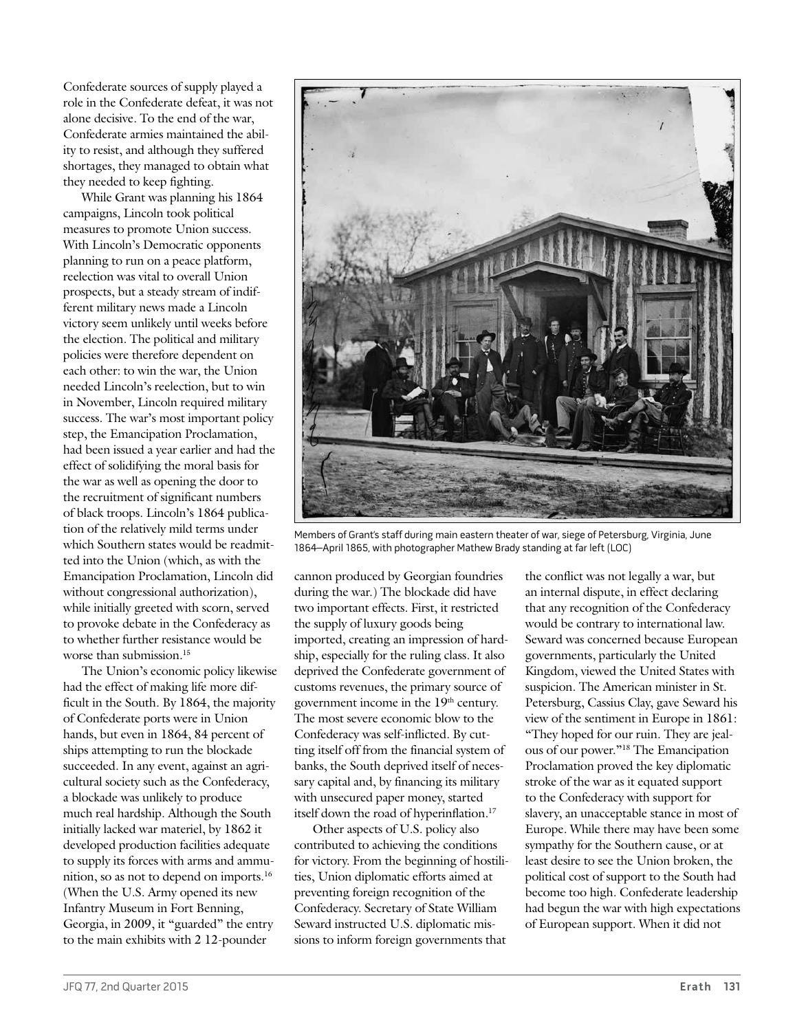Confederate sources of supply played a role in the Confederate defeat, it was not alone decisive. To the end of the war, Confederate armies maintained the ability to resist, and although they suffered shortages, they managed to obtain what they needed to keep fighting.

While Grant was planning his 1864 campaigns, Lincoln took political measures to promote Union success. With Lincoln's Democratic opponents planning to run on a peace platform, reelection was vital to overall Union prospects, but a steady stream of indifferent military news made a Lincoln victory seem unlikely until weeks before the election. The political and military policies were therefore dependent on each other: to win the war, the Union needed Lincoln's reelection, but to win in November, Lincoln required military success. The war's most important policy step, the Emancipation Proclamation, had been issued a year earlier and had the effect of solidifying the moral basis for the war as well as opening the door to the recruitment of significant numbers of black troops. Lincoln's 1864 publication of the relatively mild terms under which Southern states would be readmitted into the Union (which, as with the Emancipation Proclamation, Lincoln did without congressional authorization), while initially greeted with scorn, served to provoke debate in the Confederacy as to whether further resistance would be worse than submission.15

The Union's economic policy likewise had the effect of making life more difficult in the South. By 1864, the majority of Confederate ports were in Union hands, but even in 1864, 84 percent of ships attempting to run the blockade succeeded. In any event, against an agricultural society such as the Confederacy, a blockade was unlikely to produce much real hardship. Although the South initially lacked war materiel, by 1862 it developed production facilities adequate to supply its forces with arms and ammunition, so as not to depend on imports.16 (When the U.S. Army opened its new Infantry Museum in Fort Benning, Georgia, in 2009, it "guarded" the entry to the main exhibits with 2 12-pounder



Members of Grant's staff during main eastern theater of war, siege of Petersburg, Virginia, June 1864–April 1865, with photographer Mathew Brady standing at far left (LOC)

cannon produced by Georgian foundries during the war.) The blockade did have two important effects. First, it restricted the supply of luxury goods being imported, creating an impression of hardship, especially for the ruling class. It also deprived the Confederate government of customs revenues, the primary source of government income in the 19<sup>th</sup> century. The most severe economic blow to the Confederacy was self-inflicted. By cutting itself off from the financial system of banks, the South deprived itself of necessary capital and, by financing its military with unsecured paper money, started itself down the road of hyperinflation.<sup>17</sup>

Other aspects of U.S. policy also contributed to achieving the conditions for victory. From the beginning of hostilities, Union diplomatic efforts aimed at preventing foreign recognition of the Confederacy. Secretary of State William Seward instructed U.S. diplomatic missions to inform foreign governments that

the conflict was not legally a war, but an internal dispute, in effect declaring that any recognition of the Confederacy would be contrary to international law. Seward was concerned because European governments, particularly the United Kingdom, viewed the United States with suspicion. The American minister in St. Petersburg, Cassius Clay, gave Seward his view of the sentiment in Europe in 1861: "They hoped for our ruin. They are jealous of our power."18 The Emancipation Proclamation proved the key diplomatic stroke of the war as it equated support to the Confederacy with support for slavery, an unacceptable stance in most of Europe. While there may have been some sympathy for the Southern cause, or at least desire to see the Union broken, the political cost of support to the South had become too high. Confederate leadership had begun the war with high expectations of European support. When it did not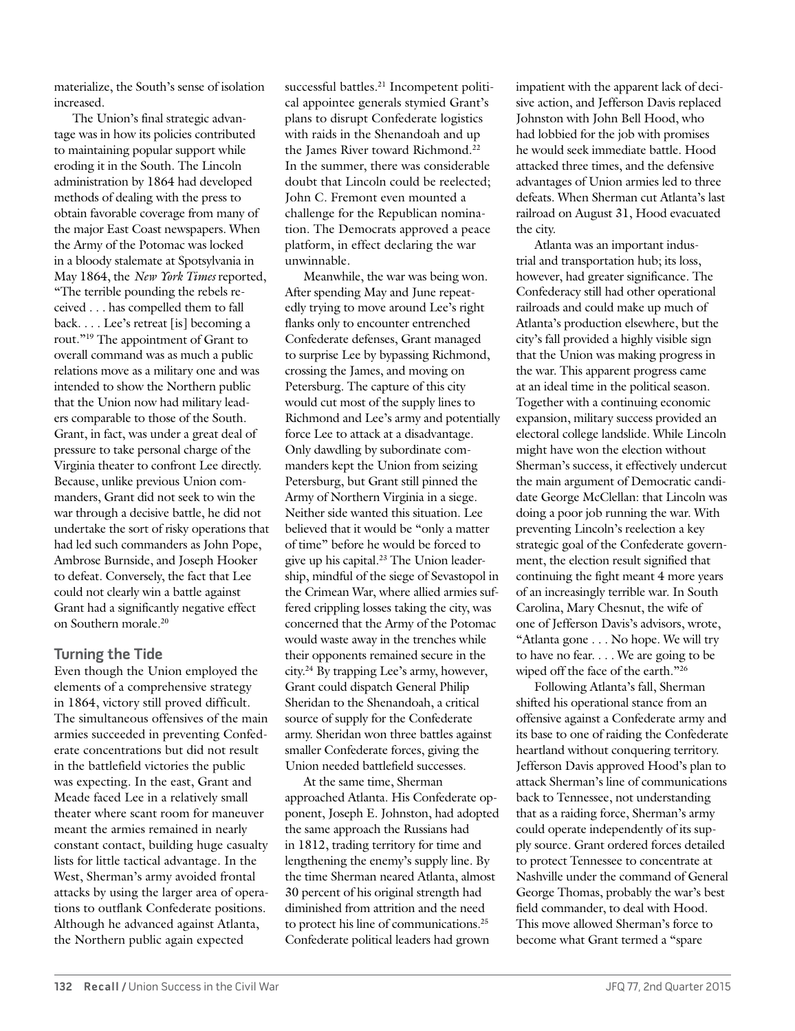materialize, the South's sense of isolation increased.

The Union's final strategic advantage was in how its policies contributed to maintaining popular support while eroding it in the South. The Lincoln administration by 1864 had developed methods of dealing with the press to obtain favorable coverage from many of the major East Coast newspapers. When the Army of the Potomac was locked in a bloody stalemate at Spotsylvania in May 1864, the *New York Times* reported, "The terrible pounding the rebels received . . . has compelled them to fall back. . . . Lee's retreat [is] becoming a rout."19 The appointment of Grant to overall command was as much a public relations move as a military one and was intended to show the Northern public that the Union now had military leaders comparable to those of the South. Grant, in fact, was under a great deal of pressure to take personal charge of the Virginia theater to confront Lee directly. Because, unlike previous Union commanders, Grant did not seek to win the war through a decisive battle, he did not undertake the sort of risky operations that had led such commanders as John Pope, Ambrose Burnside, and Joseph Hooker to defeat. Conversely, the fact that Lee could not clearly win a battle against Grant had a significantly negative effect on Southern morale.20

# **Turning the Tide**

Even though the Union employed the elements of a comprehensive strategy in 1864, victory still proved difficult. The simultaneous offensives of the main armies succeeded in preventing Confederate concentrations but did not result in the battlefield victories the public was expecting. In the east, Grant and Meade faced Lee in a relatively small theater where scant room for maneuver meant the armies remained in nearly constant contact, building huge casualty lists for little tactical advantage. In the West, Sherman's army avoided frontal attacks by using the larger area of operations to outflank Confederate positions. Although he advanced against Atlanta, the Northern public again expected

successful battles.<sup>21</sup> Incompetent political appointee generals stymied Grant's plans to disrupt Confederate logistics with raids in the Shenandoah and up the James River toward Richmond.<sup>22</sup> In the summer, there was considerable doubt that Lincoln could be reelected; John C. Fremont even mounted a challenge for the Republican nomination. The Democrats approved a peace platform, in effect declaring the war unwinnable.

Meanwhile, the war was being won. After spending May and June repeatedly trying to move around Lee's right flanks only to encounter entrenched Confederate defenses, Grant managed to surprise Lee by bypassing Richmond, crossing the James, and moving on Petersburg. The capture of this city would cut most of the supply lines to Richmond and Lee's army and potentially force Lee to attack at a disadvantage. Only dawdling by subordinate commanders kept the Union from seizing Petersburg, but Grant still pinned the Army of Northern Virginia in a siege. Neither side wanted this situation. Lee believed that it would be "only a matter of time" before he would be forced to give up his capital.23 The Union leadership, mindful of the siege of Sevastopol in the Crimean War, where allied armies suffered crippling losses taking the city, was concerned that the Army of the Potomac would waste away in the trenches while their opponents remained secure in the city.24 By trapping Lee's army, however, Grant could dispatch General Philip Sheridan to the Shenandoah, a critical source of supply for the Confederate army. Sheridan won three battles against smaller Confederate forces, giving the Union needed battlefield successes.

At the same time, Sherman approached Atlanta. His Confederate opponent, Joseph E. Johnston, had adopted the same approach the Russians had in 1812, trading territory for time and lengthening the enemy's supply line. By the time Sherman neared Atlanta, almost 30 percent of his original strength had diminished from attrition and the need to protect his line of communications.25 Confederate political leaders had grown

impatient with the apparent lack of decisive action, and Jefferson Davis replaced Johnston with John Bell Hood, who had lobbied for the job with promises he would seek immediate battle. Hood attacked three times, and the defensive advantages of Union armies led to three defeats. When Sherman cut Atlanta's last railroad on August 31, Hood evacuated the city.

Atlanta was an important industrial and transportation hub; its loss, however, had greater significance. The Confederacy still had other operational railroads and could make up much of Atlanta's production elsewhere, but the city's fall provided a highly visible sign that the Union was making progress in the war. This apparent progress came at an ideal time in the political season. Together with a continuing economic expansion, military success provided an electoral college landslide. While Lincoln might have won the election without Sherman's success, it effectively undercut the main argument of Democratic candidate George McClellan: that Lincoln was doing a poor job running the war. With preventing Lincoln's reelection a key strategic goal of the Confederate government, the election result signified that continuing the fight meant 4 more years of an increasingly terrible war. In South Carolina, Mary Chesnut, the wife of one of Jefferson Davis's advisors, wrote, "Atlanta gone . . . No hope. We will try to have no fear. . . . We are going to be wiped off the face of the earth."26

Following Atlanta's fall, Sherman shifted his operational stance from an offensive against a Confederate army and its base to one of raiding the Confederate heartland without conquering territory. Jefferson Davis approved Hood's plan to attack Sherman's line of communications back to Tennessee, not understanding that as a raiding force, Sherman's army could operate independently of its supply source. Grant ordered forces detailed to protect Tennessee to concentrate at Nashville under the command of General George Thomas, probably the war's best field commander, to deal with Hood. This move allowed Sherman's force to become what Grant termed a "spare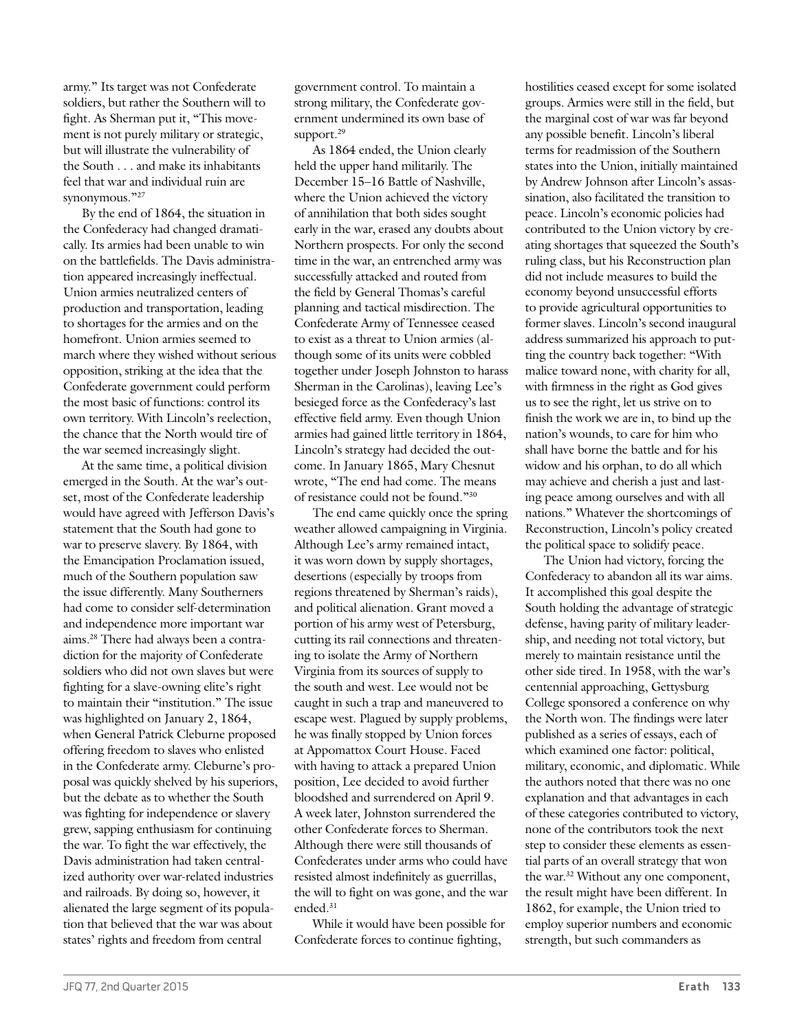army." Its target was not Confederate soldiers, but rather the Southern will to fight. As Sherman put it, "This movement is not purely military or strategic, but will illustrate the vulnerability of the South . . . and make its inhabitants feel that war and individual ruin are synonymous."27

By the end of 1864, the situation in the Confederacy had changed dramatically. Its armies had been unable to win on the battlefields. The Davis administration appeared increasingly ineffectual. Union armies neutralized centers of production and transportation, leading to shortages for the armies and on the homefront. Union armies seemed to march where they wished without serious opposition, striking at the idea that the Confederate government could perform the most basic of functions: control its own territory. With Lincoln's reelection, the chance that the North would tire of the war seemed increasingly slight.

At the same time, a political division emerged in the South. At the war's outset, most of the Confederate leadership would have agreed with Jefferson Davis's statement that the South had gone to war to preserve slavery. By 1864, with the Emancipation Proclamation issued, much of the Southern population saw the issue differently. Many Southerners had come to consider self-determination and independence more important war aims.28 There had always been a contradiction for the majority of Confederate soldiers who did not own slaves but were fighting for a slave-owning elite's right to maintain their "institution." The issue was highlighted on January 2, 1864, when General Patrick Cleburne proposed offering freedom to slaves who enlisted in the Confederate army. Cleburne's proposal was quickly shelved by his superiors, but the debate as to whether the South was fighting for independence or slavery grew, sapping enthusiasm for continuing the war. To fight the war effectively, the Davis administration had taken centralized authority over war-related industries and railroads. By doing so, however, it alienated the large segment of its population that believed that the war was about states' rights and freedom from central

government control. To maintain a strong military, the Confederate government undermined its own base of support.<sup>29</sup>

As 1864 ended, the Union clearly held the upper hand militarily. The December 15–16 Battle of Nashville, where the Union achieved the victory of annihilation that both sides sought early in the war, erased any doubts about Northern prospects. For only the second time in the war, an entrenched army was successfully attacked and routed from the field by General Thomas's careful planning and tactical misdirection. The Confederate Army of Tennessee ceased to exist as a threat to Union armies (although some of its units were cobbled together under Joseph Johnston to harass Sherman in the Carolinas), leaving Lee's besieged force as the Confederacy's last effective field army. Even though Union armies had gained little territory in 1864, Lincoln's strategy had decided the outcome. In January 1865, Mary Chesnut wrote, "The end had come. The means of resistance could not be found."30

The end came quickly once the spring weather allowed campaigning in Virginia. Although Lee's army remained intact, it was worn down by supply shortages, desertions (especially by troops from regions threatened by Sherman's raids), and political alienation. Grant moved a portion of his army west of Petersburg, cutting its rail connections and threatening to isolate the Army of Northern Virginia from its sources of supply to the south and west. Lee would not be caught in such a trap and maneuvered to escape west. Plagued by supply problems, he was finally stopped by Union forces at Appomattox Court House. Faced with having to attack a prepared Union position, Lee decided to avoid further bloodshed and surrendered on April 9. A week later, Johnston surrendered the other Confederate forces to Sherman. Although there were still thousands of Confederates under arms who could have resisted almost indefinitely as guerrillas, the will to fight on was gone, and the war ended.31

While it would have been possible for Confederate forces to continue fighting,

hostilities ceased except for some isolated groups. Armies were still in the field, but the marginal cost of war was far beyond any possible benefit. Lincoln's liberal terms for readmission of the Southern states into the Union, initially maintained by Andrew Johnson after Lincoln's assassination, also facilitated the transition to peace. Lincoln's economic policies had contributed to the Union victory by creating shortages that squeezed the South's ruling class, but his Reconstruction plan did not include measures to build the economy beyond unsuccessful efforts to provide agricultural opportunities to former slaves. Lincoln's second inaugural address summarized his approach to putting the country back together: "With malice toward none, with charity for all, with firmness in the right as God gives us to see the right, let us strive on to finish the work we are in, to bind up the nation's wounds, to care for him who shall have borne the battle and for his widow and his orphan, to do all which may achieve and cherish a just and lasting peace among ourselves and with all nations." Whatever the shortcomings of Reconstruction, Lincoln's policy created the political space to solidify peace.

The Union had victory, forcing the Confederacy to abandon all its war aims. It accomplished this goal despite the South holding the advantage of strategic defense, having parity of military leadership, and needing not total victory, but merely to maintain resistance until the other side tired. In 1958, with the war's centennial approaching, Gettysburg College sponsored a conference on why the North won. The findings were later published as a series of essays, each of which examined one factor: political, military, economic, and diplomatic. While the authors noted that there was no one explanation and that advantages in each of these categories contributed to victory, none of the contributors took the next step to consider these elements as essential parts of an overall strategy that won the war.32 Without any one component, the result might have been different. In 1862, for example, the Union tried to employ superior numbers and economic strength, but such commanders as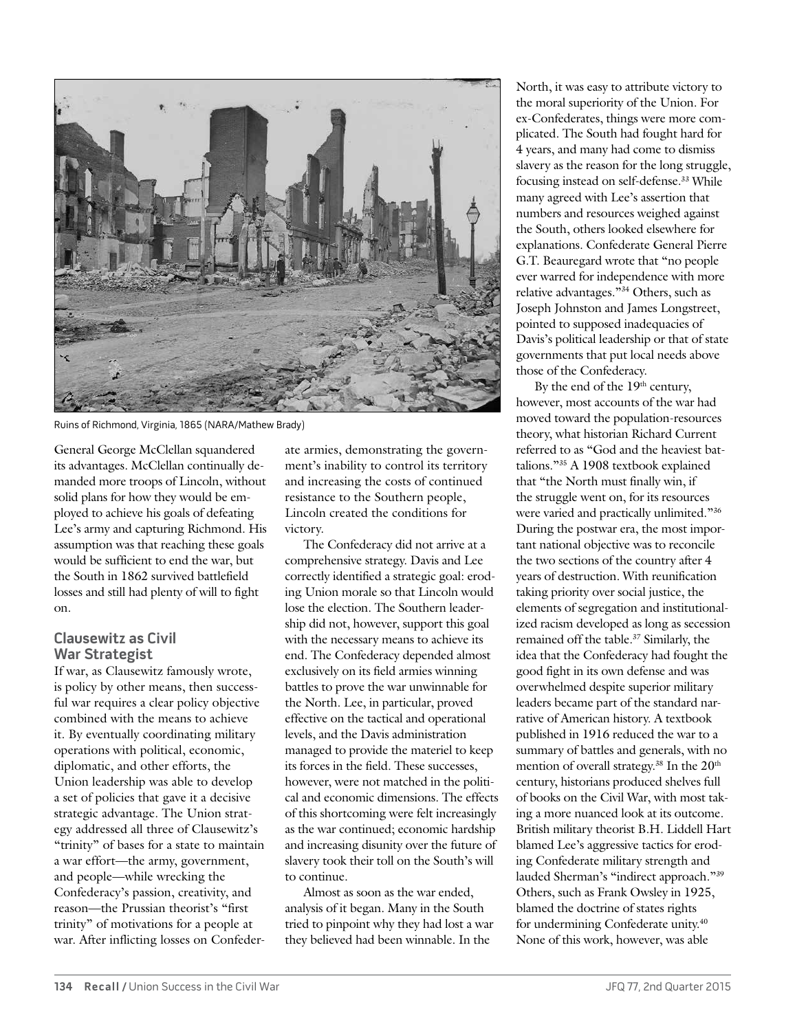

Ruins of Richmond, Virginia, 1865 (NARA/Mathew Brady)

General George McClellan squandered its advantages. McClellan continually demanded more troops of Lincoln, without solid plans for how they would be employed to achieve his goals of defeating Lee's army and capturing Richmond. His assumption was that reaching these goals would be sufficient to end the war, but the South in 1862 survived battlefield losses and still had plenty of will to fight on.

### **Clausewitz as Civil War Strategist**

If war, as Clausewitz famously wrote, is policy by other means, then successful war requires a clear policy objective combined with the means to achieve it. By eventually coordinating military operations with political, economic, diplomatic, and other efforts, the Union leadership was able to develop a set of policies that gave it a decisive strategic advantage. The Union strategy addressed all three of Clausewitz's "trinity" of bases for a state to maintain a war effort—the army, government, and people—while wrecking the Confederacy's passion, creativity, and reason—the Prussian theorist's "first trinity" of motivations for a people at war. After inflicting losses on Confederate armies, demonstrating the government's inability to control its territory and increasing the costs of continued resistance to the Southern people, Lincoln created the conditions for victory.

The Confederacy did not arrive at a comprehensive strategy. Davis and Lee correctly identified a strategic goal: eroding Union morale so that Lincoln would lose the election. The Southern leadership did not, however, support this goal with the necessary means to achieve its end. The Confederacy depended almost exclusively on its field armies winning battles to prove the war unwinnable for the North. Lee, in particular, proved effective on the tactical and operational levels, and the Davis administration managed to provide the materiel to keep its forces in the field. These successes, however, were not matched in the political and economic dimensions. The effects of this shortcoming were felt increasingly as the war continued; economic hardship and increasing disunity over the future of slavery took their toll on the South's will to continue.

Almost as soon as the war ended, analysis of it began. Many in the South tried to pinpoint why they had lost a war they believed had been winnable. In the

North, it was easy to attribute victory to the moral superiority of the Union. For ex-Confederates, things were more complicated. The South had fought hard for 4 years, and many had come to dismiss slavery as the reason for the long struggle, focusing instead on self-defense.33 While many agreed with Lee's assertion that numbers and resources weighed against the South, others looked elsewhere for explanations. Confederate General Pierre G.T. Beauregard wrote that "no people ever warred for independence with more relative advantages."34 Others, such as Joseph Johnston and James Longstreet, pointed to supposed inadequacies of Davis's political leadership or that of state governments that put local needs above those of the Confederacy.

By the end of the 19<sup>th</sup> century, however, most accounts of the war had moved toward the population-resources theory, what historian Richard Current referred to as "God and the heaviest battalions."35 A 1908 textbook explained that "the North must finally win, if the struggle went on, for its resources were varied and practically unlimited."36 During the postwar era, the most important national objective was to reconcile the two sections of the country after 4 years of destruction. With reunification taking priority over social justice, the elements of segregation and institutionalized racism developed as long as secession remained off the table.<sup>37</sup> Similarly, the idea that the Confederacy had fought the good fight in its own defense and was overwhelmed despite superior military leaders became part of the standard narrative of American history. A textbook published in 1916 reduced the war to a summary of battles and generals, with no mention of overall strategy.<sup>38</sup> In the 20<sup>th</sup> century, historians produced shelves full of books on the Civil War, with most taking a more nuanced look at its outcome. British military theorist B.H. Liddell Hart blamed Lee's aggressive tactics for eroding Confederate military strength and lauded Sherman's "indirect approach."39 Others, such as Frank Owsley in 1925, blamed the doctrine of states rights for undermining Confederate unity.40 None of this work, however, was able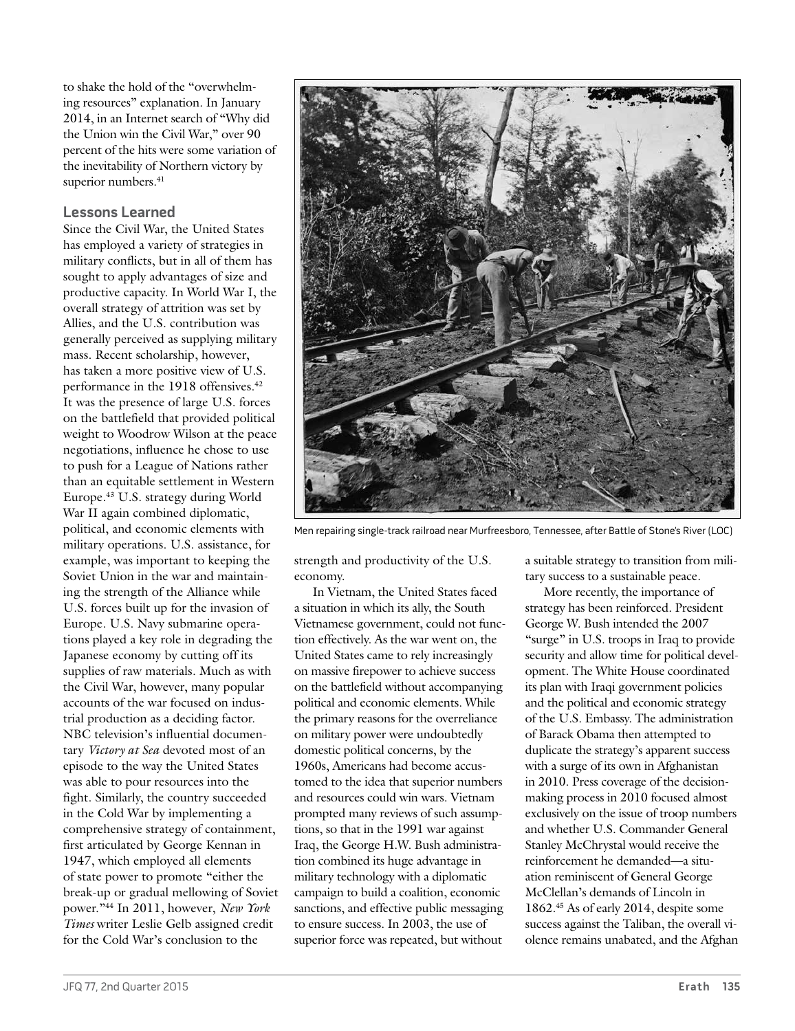to shake the hold of the "overwhelming resources" explanation. In January 2014, in an Internet search of "Why did the Union win the Civil War," over 90 percent of the hits were some variation of the inevitability of Northern victory by superior numbers.<sup>41</sup>

## **Lessons Learned**

Since the Civil War, the United States has employed a variety of strategies in military conflicts, but in all of them has sought to apply advantages of size and productive capacity. In World War I, the overall strategy of attrition was set by Allies, and the U.S. contribution was generally perceived as supplying military mass. Recent scholarship, however, has taken a more positive view of U.S. performance in the 1918 offensives.<sup>42</sup> It was the presence of large U.S. forces on the battlefield that provided political weight to Woodrow Wilson at the peace negotiations, influence he chose to use to push for a League of Nations rather than an equitable settlement in Western Europe.43 U.S. strategy during World War II again combined diplomatic, political, and economic elements with military operations. U.S. assistance, for example, was important to keeping the Soviet Union in the war and maintaining the strength of the Alliance while U.S. forces built up for the invasion of Europe. U.S. Navy submarine operations played a key role in degrading the Japanese economy by cutting off its supplies of raw materials. Much as with the Civil War, however, many popular accounts of the war focused on industrial production as a deciding factor. NBC television's influential documentary *Victory at Sea* devoted most of an episode to the way the United States was able to pour resources into the fight. Similarly, the country succeeded in the Cold War by implementing a comprehensive strategy of containment, first articulated by George Kennan in 1947, which employed all elements of state power to promote "either the break-up or gradual mellowing of Soviet power."44 In 2011, however, *New York Times* writer Leslie Gelb assigned credit for the Cold War's conclusion to the



Men repairing single-track railroad near Murfreesboro, Tennessee, after Battle of Stone's River (LOC)

strength and productivity of the U.S. economy.

In Vietnam, the United States faced a situation in which its ally, the South Vietnamese government, could not function effectively. As the war went on, the United States came to rely increasingly on massive firepower to achieve success on the battlefield without accompanying political and economic elements. While the primary reasons for the overreliance on military power were undoubtedly domestic political concerns, by the 1960s, Americans had become accustomed to the idea that superior numbers and resources could win wars. Vietnam prompted many reviews of such assumptions, so that in the 1991 war against Iraq, the George H.W. Bush administration combined its huge advantage in military technology with a diplomatic campaign to build a coalition, economic sanctions, and effective public messaging to ensure success. In 2003, the use of superior force was repeated, but without

a suitable strategy to transition from military success to a sustainable peace.

More recently, the importance of strategy has been reinforced. President George W. Bush intended the 2007 "surge" in U.S. troops in Iraq to provide security and allow time for political development. The White House coordinated its plan with Iraqi government policies and the political and economic strategy of the U.S. Embassy. The administration of Barack Obama then attempted to duplicate the strategy's apparent success with a surge of its own in Afghanistan in 2010. Press coverage of the decisionmaking process in 2010 focused almost exclusively on the issue of troop numbers and whether U.S. Commander General Stanley McChrystal would receive the reinforcement he demanded—a situation reminiscent of General George McClellan's demands of Lincoln in 1862.45 As of early 2014, despite some success against the Taliban, the overall violence remains unabated, and the Afghan